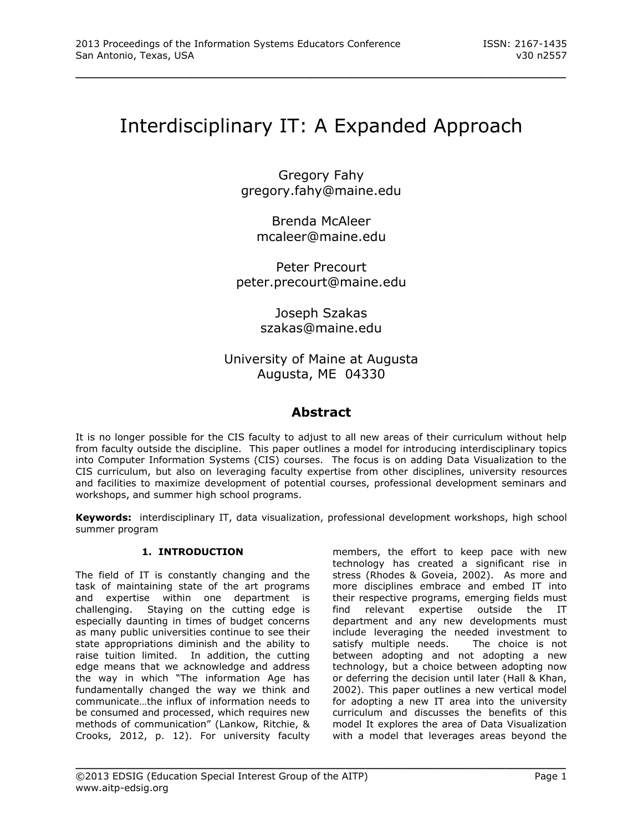# Interdisciplinary IT: A Expanded Approach

\_\_\_\_\_\_\_\_\_\_\_\_\_\_\_\_\_\_\_\_\_\_\_\_\_\_\_\_\_\_\_\_\_\_\_\_\_\_\_\_\_\_\_\_\_\_\_\_\_

Gregory Fahy gregory.fahy@maine.edu

> Brenda McAleer mcaleer@maine.edu

Peter Precourt peter.precourt@maine.edu

> Joseph Szakas szakas@maine.edu

# University of Maine at Augusta Augusta, ME 04330

# **Abstract**

It is no longer possible for the CIS faculty to adjust to all new areas of their curriculum without help from faculty outside the discipline. This paper outlines a model for introducing interdisciplinary topics into Computer Information Systems (CIS) courses. The focus is on adding Data Visualization to the CIS curriculum, but also on leveraging faculty expertise from other disciplines, university resources and facilities to maximize development of potential courses, professional development seminars and workshops, and summer high school programs.

**Keywords:** interdisciplinary IT, data visualization, professional development workshops, high school summer program

\_\_\_\_\_\_\_\_\_\_\_\_\_\_\_\_\_\_\_\_\_\_\_\_\_\_\_\_\_\_\_\_\_\_\_\_\_\_\_\_\_\_\_\_\_\_\_\_\_

# **1. INTRODUCTION**

The field of IT is constantly changing and the task of maintaining state of the art programs and expertise within one department is challenging. Staying on the cutting edge is especially daunting in times of budget concerns as many public universities continue to see their state appropriations diminish and the ability to raise tuition limited. In addition, the cutting edge means that we acknowledge and address the way in which "The information Age has fundamentally changed the way we think and communicate…the influx of information needs to be consumed and processed, which requires new methods of communication" (Lankow, Ritchie, & Crooks, 2012, p. 12). For university faculty members, the effort to keep pace with new technology has created a significant rise in stress (Rhodes & Goveia, 2002). As more and more disciplines embrace and embed IT into their respective programs, emerging fields must find relevant expertise outside the IT department and any new developments must include leveraging the needed investment to satisfy multiple needs. The choice is not between adopting and not adopting a new technology, but a choice between adopting now or deferring the decision until later (Hall & Khan, 2002). This paper outlines a new vertical model for adopting a new IT area into the university curriculum and discusses the benefits of this model It explores the area of Data Visualization with a model that leverages areas beyond the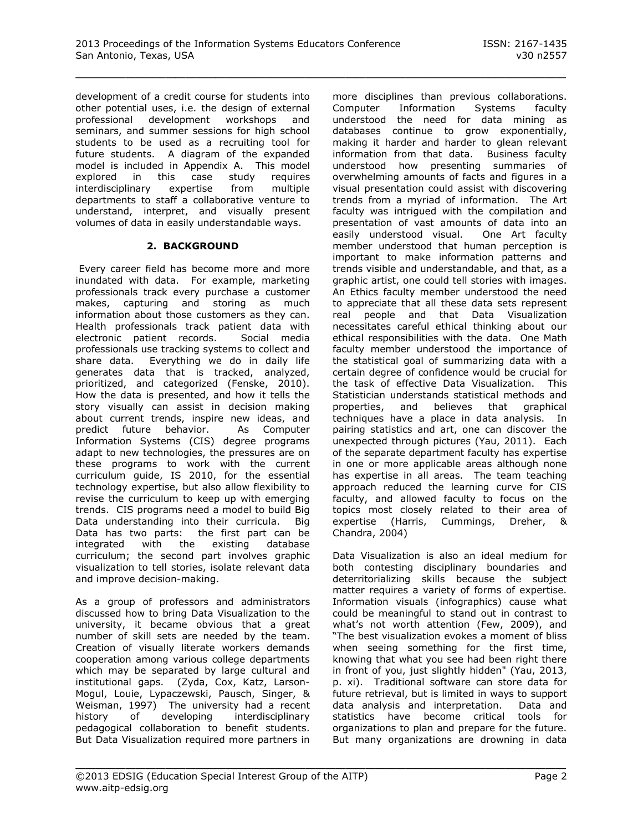development of a credit course for students into other potential uses, i.e. the design of external professional development workshops and seminars, and summer sessions for high school students to be used as a recruiting tool for future students. A diagram of the expanded model is included in Appendix A. This model explored in this case study requires interdisciplinary expertise from multiple departments to staff a collaborative venture to understand, interpret, and visually present volumes of data in easily understandable ways.

# **2. BACKGROUND**

Every career field has become more and more inundated with data. For example, marketing professionals track every purchase a customer makes, capturing and storing as much information about those customers as they can. Health professionals track patient data with electronic patient records. Social media professionals use tracking systems to collect and share data. Everything we do in daily life generates data that is tracked, analyzed, prioritized, and categorized (Fenske, 2010). How the data is presented, and how it tells the story visually can assist in decision making about current trends, inspire new ideas, and predict future behavior. As Computer Information Systems (CIS) degree programs adapt to new technologies, the pressures are on these programs to work with the current curriculum guide, IS 2010, for the essential technology expertise, but also allow flexibility to revise the curriculum to keep up with emerging trends. CIS programs need a model to build Big Data understanding into their curricula. Big Data has two parts: the first part can be integrated with the existing database curriculum; the second part involves graphic visualization to tell stories, isolate relevant data and improve decision-making.

As a group of professors and administrators discussed how to bring Data Visualization to the university, it became obvious that a great number of skill sets are needed by the team. Creation of visually literate workers demands cooperation among various college departments which may be separated by large cultural and institutional gaps. (Zyda, Cox, Katz, Larson-Mogul, Louie, Lypaczewski, Pausch, Singer, & Weisman, 1997) The university had a recent history of developing interdisciplinary pedagogical collaboration to benefit students. But Data Visualization required more partners in more disciplines than previous collaborations. Computer Information Systems faculty understood the need for data mining as databases continue to grow exponentially, making it harder and harder to glean relevant information from that data. Business faculty understood how presenting summaries of overwhelming amounts of facts and figures in a visual presentation could assist with discovering trends from a myriad of information. The Art faculty was intrigued with the compilation and presentation of vast amounts of data into an easily understood visual. One Art faculty member understood that human perception is important to make information patterns and trends visible and understandable, and that, as a graphic artist, one could tell stories with images. An Ethics faculty member understood the need to appreciate that all these data sets represent real people and that Data Visualization necessitates careful ethical thinking about our ethical responsibilities with the data. One Math faculty member understood the importance of the statistical goal of summarizing data with a certain degree of confidence would be crucial for the task of effective Data Visualization. This Statistician understands statistical methods and properties, and believes that graphical techniques have a place in data analysis. In pairing statistics and art, one can discover the unexpected through pictures (Yau, 2011). Each of the separate department faculty has expertise in one or more applicable areas although none has expertise in all areas. The team teaching approach reduced the learning curve for CIS faculty, and allowed faculty to focus on the topics most closely related to their area of expertise (Harris, Cummings, Dreher, & Chandra, 2004)

Data Visualization is also an ideal medium for both contesting disciplinary boundaries and deterritorializing skills because the subject matter requires a variety of forms of expertise. Information visuals (infographics) cause what could be meaningful to stand out in contrast to what's not worth attention (Few, 2009), and "The best visualization evokes a moment of bliss when seeing something for the first time, knowing that what you see had been right there in front of you, just slightly hidden" (Yau, 2013, p. xi). Traditional software can store data for future retrieval, but is limited in ways to support data analysis and interpretation. Data and statistics have become critical tools for organizations to plan and prepare for the future. But many organizations are drowning in data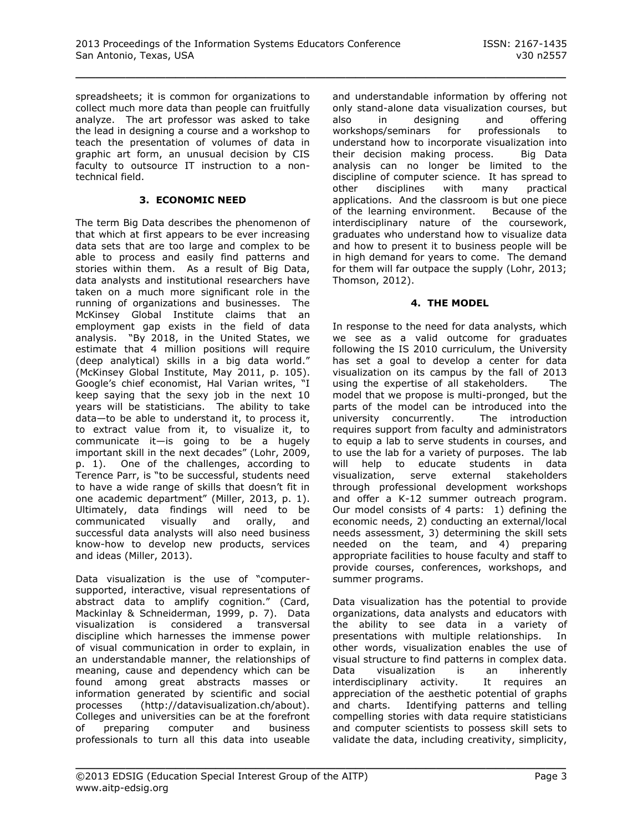spreadsheets; it is common for organizations to collect much more data than people can fruitfully analyze. The art professor was asked to take the lead in designing a course and a workshop to teach the presentation of volumes of data in graphic art form, an unusual decision by CIS faculty to outsource IT instruction to a nontechnical field.

### **3. ECONOMIC NEED**

The term Big Data describes the phenomenon of that which at first appears to be ever increasing data sets that are too large and complex to be able to process and easily find patterns and stories within them. As a result of Big Data, data analysts and institutional researchers have taken on a much more significant role in the running of organizations and businesses. The McKinsey Global Institute claims that an employment gap exists in the field of data analysis. "By 2018, in the United States, we estimate that 4 million positions will require (deep analytical) skills in a big data world." (McKinsey Global Institute, May 2011, p. 105). Google's chief economist, Hal Varian writes, "I keep saying that the sexy job in the next 10 years will be statisticians. The ability to take data—to be able to understand it, to process it, to extract value from it, to visualize it, to communicate it—is going to be a hugely important skill in the next decades" (Lohr, 2009, p. 1). One of the challenges, according to Terence Parr, is "to be successful, students need to have a wide range of skills that doesn't fit in one academic department" (Miller, 2013, p. 1). Ultimately, data findings will need to be communicated visually and orally, and successful data analysts will also need business know-how to develop new products, services and ideas (Miller, 2013).

Data visualization is the use of "computersupported, interactive, visual representations of abstract data to amplify cognition." (Card, Mackinlay & Schneiderman, 1999, p. 7). Data visualization is considered a transversal discipline which harnesses the immense power of visual communication in order to explain, in an understandable manner, the relationships of meaning, cause and dependency which can be found among great abstracts masses or information generated by scientific and social processes (http://datavisualization.ch/about). Colleges and universities can be at the forefront of preparing computer and business professionals to turn all this data into useable

and understandable information by offering not only stand-alone data visualization courses, but also in designing and offering workshops/seminars for professionals to understand how to incorporate visualization into their decision making process. Big Data analysis can no longer be limited to the discipline of computer science. It has spread to other disciplines with many practical applications. And the classroom is but one piece of the learning environment. Because of the interdisciplinary nature of the coursework, graduates who understand how to visualize data and how to present it to business people will be in high demand for years to come. The demand for them will far outpace the supply (Lohr, 2013; Thomson, 2012).

# **4. THE MODEL**

In response to the need for data analysts, which we see as a valid outcome for graduates following the IS 2010 curriculum, the University has set a goal to develop a center for data visualization on its campus by the fall of 2013 using the expertise of all stakeholders. The model that we propose is multi-pronged, but the parts of the model can be introduced into the university concurrently. The introduction requires support from faculty and administrators to equip a lab to serve students in courses, and to use the lab for a variety of purposes. The lab will help to educate students in data visualization, serve external stakeholders through professional development workshops and offer a K-12 summer outreach program. Our model consists of 4 parts: 1) defining the economic needs, 2) conducting an external/local needs assessment, 3) determining the skill sets needed on the team, and 4) preparing appropriate facilities to house faculty and staff to provide courses, conferences, workshops, and summer programs.

Data visualization has the potential to provide organizations, data analysts and educators with the ability to see data in a variety of presentations with multiple relationships. In other words, visualization enables the use of visual structure to find patterns in complex data. Data visualization is an inherently interdisciplinary activity. It requires an appreciation of the aesthetic potential of graphs and charts. Identifying patterns and telling compelling stories with data require statisticians and computer scientists to possess skill sets to validate the data, including creativity, simplicity,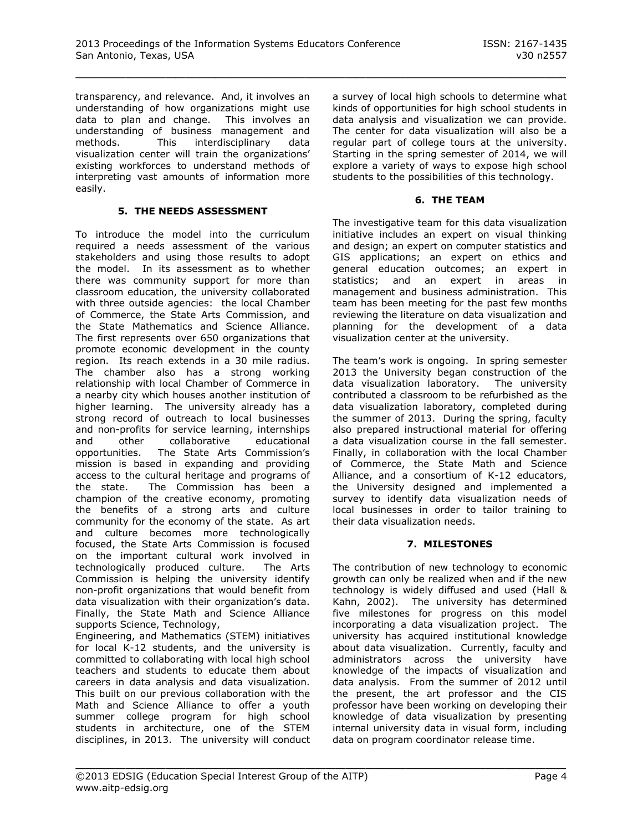transparency, and relevance. And, it involves an understanding of how organizations might use data to plan and change. This involves an understanding of business management and methods. This interdisciplinary data visualization center will train the organizations' existing workforces to understand methods of interpreting vast amounts of information more easily.

#### **5. THE NEEDS ASSESSMENT**

To introduce the model into the curriculum required a needs assessment of the various stakeholders and using those results to adopt the model. In its assessment as to whether there was community support for more than classroom education, the university collaborated with three outside agencies: the local Chamber of Commerce, the State Arts Commission, and the State Mathematics and Science Alliance. The first represents over 650 organizations that promote economic development in the county region. Its reach extends in a 30 mile radius. The chamber also has a strong working relationship with local Chamber of Commerce in a nearby city which houses another institution of higher learning. The university already has a strong record of outreach to local businesses and non-profits for service learning, internships and other collaborative educational opportunities. The State Arts Commission's mission is based in expanding and providing access to the cultural heritage and programs of the state. The Commission has been a champion of the creative economy, promoting the benefits of a strong arts and culture community for the economy of the state. As art and culture becomes more technologically focused, the State Arts Commission is focused on the important cultural work involved in technologically produced culture. The Arts Commission is helping the university identify non-profit organizations that would benefit from data visualization with their organization's data. Finally, the State Math and Science Alliance supports Science, Technology,

Engineering, and Mathematics (STEM) initiatives for local K-12 students, and the university is committed to collaborating with local high school teachers and students to educate them about careers in data analysis and data visualization. This built on our previous collaboration with the Math and Science Alliance to offer a youth summer college program for high school students in architecture, one of the STEM disciplines, in 2013. The university will conduct a survey of local high schools to determine what kinds of opportunities for high school students in data analysis and visualization we can provide. The center for data visualization will also be a regular part of college tours at the university. Starting in the spring semester of 2014, we will explore a variety of ways to expose high school students to the possibilities of this technology.

#### **6. THE TEAM**

The investigative team for this data visualization initiative includes an expert on visual thinking and design; an expert on computer statistics and GIS applications; an expert on ethics and general education outcomes; an expert in statistics; and an expert in areas in management and business administration. This team has been meeting for the past few months reviewing the literature on data visualization and planning for the development of a data visualization center at the university.

The team's work is ongoing. In spring semester 2013 the University began construction of the data visualization laboratory. The university contributed a classroom to be refurbished as the data visualization laboratory, completed during the summer of 2013. During the spring, faculty also prepared instructional material for offering a data visualization course in the fall semester. Finally, in collaboration with the local Chamber of Commerce, the State Math and Science Alliance, and a consortium of K-12 educators, the University designed and implemented a survey to identify data visualization needs of local businesses in order to tailor training to their data visualization needs.

# **7. MILESTONES**

The contribution of new technology to economic growth can only be realized when and if the new technology is widely diffused and used (Hall & Kahn, 2002). The university has determined five milestones for progress on this model incorporating a data visualization project. The university has acquired institutional knowledge about data visualization. Currently, faculty and administrators across the university have knowledge of the impacts of visualization and data analysis. From the summer of 2012 until the present, the art professor and the CIS professor have been working on developing their knowledge of data visualization by presenting internal university data in visual form, including data on program coordinator release time.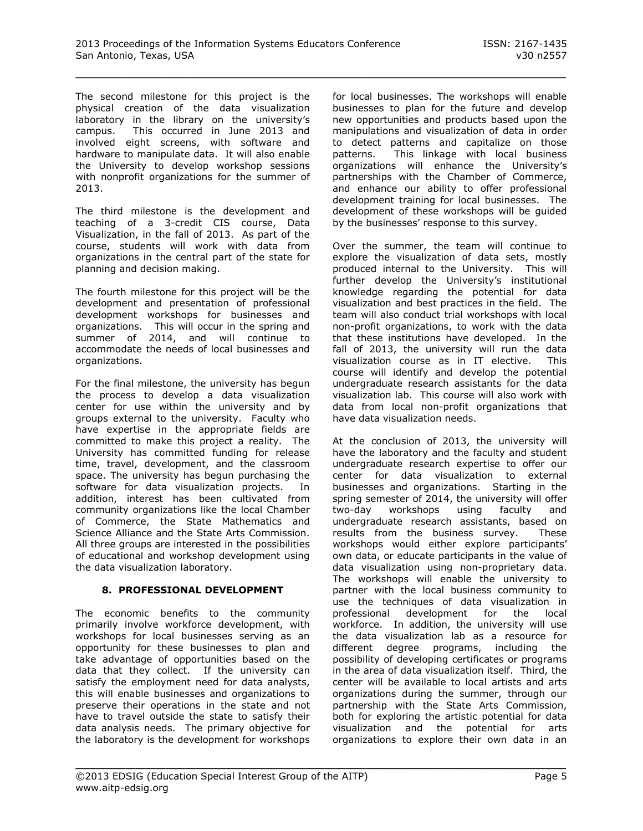The second milestone for this project is the physical creation of the data visualization laboratory in the library on the university's campus. This occurred in June 2013 and involved eight screens, with software and hardware to manipulate data. It will also enable the University to develop workshop sessions with nonprofit organizations for the summer of 2013.

The third milestone is the development and teaching of a 3-credit CIS course, Data Visualization, in the fall of 2013. As part of the course, students will work with data from organizations in the central part of the state for planning and decision making.

The fourth milestone for this project will be the development and presentation of professional development workshops for businesses and organizations. This will occur in the spring and summer of 2014, and will continue to accommodate the needs of local businesses and organizations.

For the final milestone, the university has begun the process to develop a data visualization center for use within the university and by groups external to the university. Faculty who have expertise in the appropriate fields are committed to make this project a reality. The University has committed funding for release time, travel, development, and the classroom space. The university has begun purchasing the software for data visualization projects. In addition, interest has been cultivated from community organizations like the local Chamber of Commerce, the State Mathematics and Science Alliance and the State Arts Commission. All three groups are interested in the possibilities of educational and workshop development using the data visualization laboratory.

# **8. PROFESSIONAL DEVELOPMENT**

The economic benefits to the community primarily involve workforce development, with workshops for local businesses serving as an opportunity for these businesses to plan and take advantage of opportunities based on the data that they collect. If the university can satisfy the employment need for data analysts, this will enable businesses and organizations to preserve their operations in the state and not have to travel outside the state to satisfy their data analysis needs. The primary objective for the laboratory is the development for workshops for local businesses. The workshops will enable businesses to plan for the future and develop new opportunities and products based upon the manipulations and visualization of data in order to detect patterns and capitalize on those patterns. This linkage with local business organizations will enhance the University's partnerships with the Chamber of Commerce, and enhance our ability to offer professional development training for local businesses. The development of these workshops will be guided by the businesses' response to this survey.

Over the summer, the team will continue to explore the visualization of data sets, mostly produced internal to the University. This will further develop the University's institutional knowledge regarding the potential for data visualization and best practices in the field. The team will also conduct trial workshops with local non-profit organizations, to work with the data that these institutions have developed. In the fall of 2013, the university will run the data visualization course as in IT elective. This course will identify and develop the potential undergraduate research assistants for the data visualization lab. This course will also work with data from local non-profit organizations that have data visualization needs.

At the conclusion of 2013, the university will have the laboratory and the faculty and student undergraduate research expertise to offer our center for data visualization to external businesses and organizations. Starting in the spring semester of 2014, the university will offer two-day workshops using faculty and undergraduate research assistants, based on results from the business survey. These workshops would either explore participants' own data, or educate participants in the value of data visualization using non-proprietary data. The workshops will enable the university to partner with the local business community to use the techniques of data visualization in professional development for the local workforce. In addition, the university will use the data visualization lab as a resource for different degree programs, including the possibility of developing certificates or programs in the area of data visualization itself. Third, the center will be available to local artists and arts organizations during the summer, through our partnership with the State Arts Commission, both for exploring the artistic potential for data visualization and the potential for arts organizations to explore their own data in an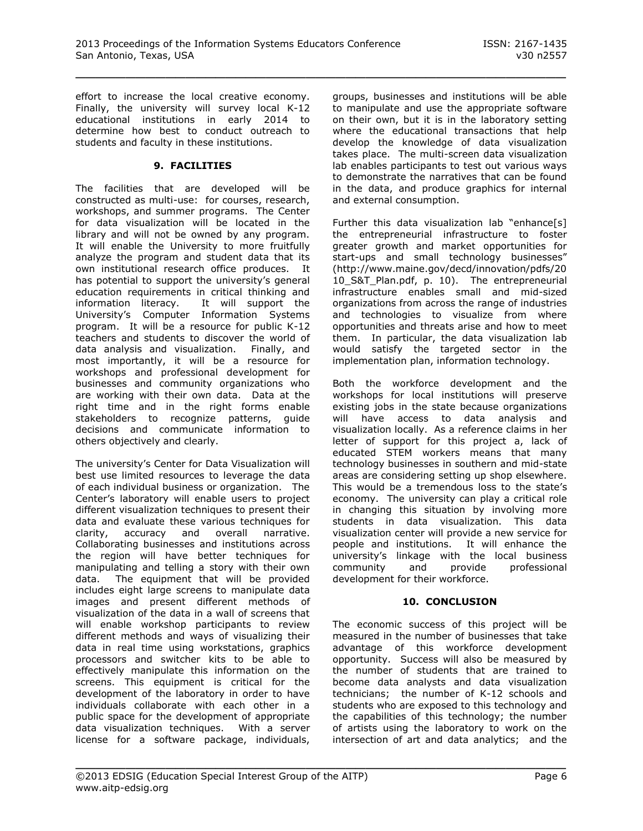effort to increase the local creative economy. Finally, the university will survey local K-12 educational institutions in early 2014 to determine how best to conduct outreach to students and faculty in these institutions.

#### **9. FACILITIES**

The facilities that are developed will be constructed as multi-use: for courses, research, workshops, and summer programs. The Center for data visualization will be located in the library and will not be owned by any program. It will enable the University to more fruitfully analyze the program and student data that its own institutional research office produces. It has potential to support the university's general education requirements in critical thinking and information literacy. It will support the University's Computer Information Systems program. It will be a resource for public K-12 teachers and students to discover the world of data analysis and visualization. Finally, and most importantly, it will be a resource for workshops and professional development for businesses and community organizations who are working with their own data. Data at the right time and in the right forms enable stakeholders to recognize patterns, guide decisions and communicate information to others objectively and clearly.

The university's Center for Data Visualization will best use limited resources to leverage the data of each individual business or organization. The Center's laboratory will enable users to project different visualization techniques to present their data and evaluate these various techniques for clarity, accuracy and overall narrative. Collaborating businesses and institutions across the region will have better techniques for manipulating and telling a story with their own data. The equipment that will be provided includes eight large screens to manipulate data images and present different methods of visualization of the data in a wall of screens that will enable workshop participants to review different methods and ways of visualizing their data in real time using workstations, graphics processors and switcher kits to be able to effectively manipulate this information on the screens. This equipment is critical for the development of the laboratory in order to have individuals collaborate with each other in a public space for the development of appropriate data visualization techniques. With a server license for a software package, individuals,

groups, businesses and institutions will be able to manipulate and use the appropriate software on their own, but it is in the laboratory setting where the educational transactions that help develop the knowledge of data visualization takes place. The multi-screen data visualization lab enables participants to test out various ways to demonstrate the narratives that can be found in the data, and produce graphics for internal and external consumption.

Further this data visualization lab "enhance[s] the entrepreneurial infrastructure to foster greater growth and market opportunities for start-ups and small technology businesses" (http://www.maine.gov/decd/innovation/pdfs/20 10\_S&T\_Plan.pdf, p. 10). The entrepreneurial infrastructure enables small and mid-sized organizations from across the range of industries and technologies to visualize from where opportunities and threats arise and how to meet them. In particular, the data visualization lab would satisfy the targeted sector in the implementation plan, information technology.

Both the workforce development and the workshops for local institutions will preserve existing jobs in the state because organizations will have access to data analysis and visualization locally. As a reference claims in her letter of support for this project a, lack of educated STEM workers means that many technology businesses in southern and mid-state areas are considering setting up shop elsewhere. This would be a tremendous loss to the state's economy. The university can play a critical role in changing this situation by involving more students in data visualization. This data visualization center will provide a new service for people and institutions. It will enhance the university's linkage with the local business community and provide professional development for their workforce.

#### **10. CONCLUSION**

The economic success of this project will be measured in the number of businesses that take advantage of this workforce development opportunity. Success will also be measured by the number of students that are trained to become data analysts and data visualization technicians; the number of K-12 schools and students who are exposed to this technology and the capabilities of this technology; the number of artists using the laboratory to work on the intersection of art and data analytics; and the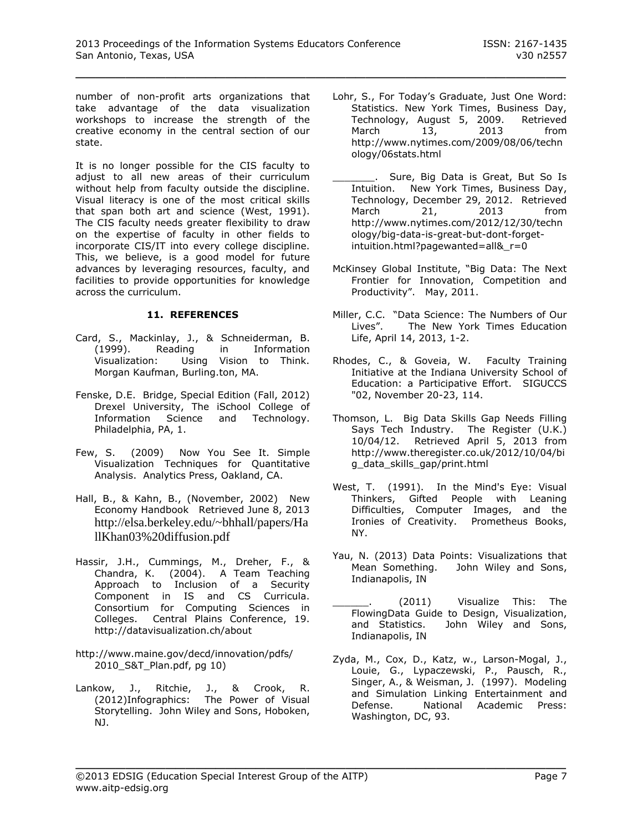number of non-profit arts organizations that take advantage of the data visualization workshops to increase the strength of the creative economy in the central section of our state.

It is no longer possible for the CIS faculty to adjust to all new areas of their curriculum without help from faculty outside the discipline. Visual literacy is one of the most critical skills that span both art and science (West, 1991). The CIS faculty needs greater flexibility to draw on the expertise of faculty in other fields to incorporate CIS/IT into every college discipline. This, we believe, is a good model for future advances by leveraging resources, faculty, and facilities to provide opportunities for knowledge across the curriculum.

# **11. REFERENCES**

- Card, S., Mackinlay, J., & Schneiderman, B.<br>(1999). Reading in Information (1999). Reading in Information Visualization: Using Vision to Think. Morgan Kaufman, Burling.ton, MA.
- Fenske, D.E. Bridge, Special Edition (Fall, 2012) Drexel University, The iSchool College of Information Science and Technology. Philadelphia, PA, 1.
- Few, S. (2009) Now You See It. Simple Visualization Techniques for Quantitative Analysis. Analytics Press, Oakland, CA.
- Hall, B., & Kahn, B., (November, 2002) New Economy Handbook Retrieved June 8, 2013 [http://elsa.berkeley.edu/~bhhall/papers/Ha](http://elsa.berkeley.edu/~bhhall/papers/HallKhan03%20diffusion.pdf) [llKhan03%20diffusion.pdf](http://elsa.berkeley.edu/~bhhall/papers/HallKhan03%20diffusion.pdf)
- Hassir, J.H., Cummings, M., Dreher, F., & Chandra, K. (2004). A Team Teaching Approach to Inclusion of a Security Component in IS and CS Curricula. Consortium for Computing Sciences in Colleges. Central Plains Conference, 19. http://datavisualization.ch/about
- <http://www.maine.gov/decd/innovation/pdfs/> 2010\_S&T\_Plan.pdf, pg 10)
- Lankow, J., Ritchie, J., & Crook, R. (2012)Infographics: The Power of Visual Storytelling. John Wiley and Sons, Hoboken, NJ.
- Lohr, S., For Today's Graduate, Just One Word: Statistics. New York Times, Business Day, Technology, August 5, 2009. Retrieved March 13, 2013 from http://www.nytimes.com/2009/08/06/techn ology/06stats.html
- \_\_\_\_\_\_\_. Sure, Big Data is Great, But So Is Intuition. New York Times, Business Day, Technology, December 29, 2012. Retrieved March 21, 2013 from http://www.nytimes.com/2012/12/30/techn ology/big-data-is-great-but-dont-forgetintuition.html?pagewanted=all& r=0
- McKinsey Global Institute, "Big Data: The Next Frontier for Innovation, Competition and Productivity". May, 2011.
- Miller, C.C. "Data Science: The Numbers of Our Lives". The New York Times Education Life, April 14, 2013, 1-2.
- Rhodes, C., & Goveia, W. Faculty Training Initiative at the Indiana University School of Education: a Participative Effort. SIGUCCS "02, November 20-23, 114.
- Thomson, L. Big Data Skills Gap Needs Filling Says Tech Industry. The Register (U.K.) 10/04/12. Retrieved April 5, 2013 from http://www.theregister.co.uk/2012/10/04/bi g\_data\_skills\_gap/print.html
- West, T. (1991). In the Mind's Eye: Visual Thinkers, Gifted People with Leaning Difficulties, Computer Images, and the Ironies of Creativity. Prometheus Books, NY.
- Yau, N. (2013) Data Points: Visualizations that Mean Something. John Wiley and Sons, Indianapolis, IN
- (2011) Visualize This: The FlowingData Guide to Design, Visualization, and Statistics. John Wiley and Sons, Indianapolis, IN
- Zyda, M., Cox, D., Katz, w., Larson-Mogal, J., Louie, G., Lypaczewski, P., Pausch, R., Singer, A., & Weisman, J. (1997). Modeling and Simulation Linking Entertainment and Defense. National Academic Press: Washington, DC, 93.